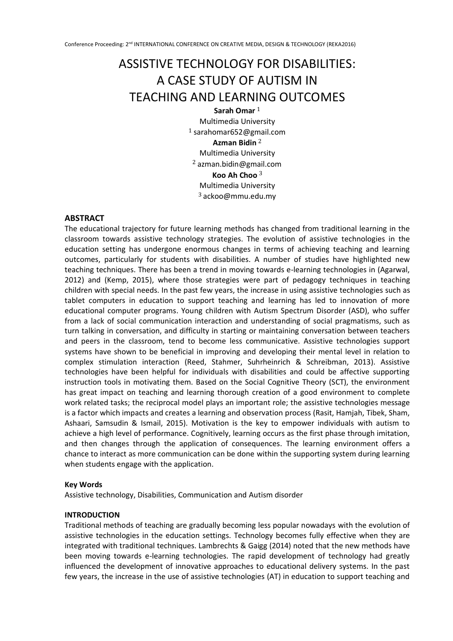# ASSISTIVE TECHNOLOGY FOR DISABILITIES: A CASE STUDY OF AUTISM IN TEACHING AND LEARNING OUTCOMES

**Sarah Omar** <sup>1</sup> Multimedia University  $1$  [sarahomar652@gmail.com](mailto:sarahomar652@gmail.com) **Azman Bidin** <sup>2</sup> Multimedia University  $2$  azman.bidin@gmail.com **Koo Ah Choo** <sup>3</sup> Multimedia University  $3$  ackoo@mmu.edu.my

## **ABSTRACT**

The educational trajectory for future learning methods has changed from traditional learning in the classroom towards assistive technology strategies. The evolution of assistive technologies in the education setting has undergone enormous changes in terms of achieving teaching and learning outcomes, particularly for students with disabilities. A number of studies have highlighted new teaching techniques. There has been a trend in moving towards e-learning technologies in (Agarwal, 2012) and (Kemp, 2015), where those strategies were part of pedagogy techniques in teaching children with special needs. In the past few years, the increase in using assistive technologies such as tablet computers in education to support teaching and learning has led to innovation of more educational computer programs. Young children with Autism Spectrum Disorder (ASD), who suffer from a lack of social communication interaction and understanding of social pragmatisms, such as turn talking in conversation, and difficulty in starting or maintaining conversation between teachers and peers in the classroom, tend to become less communicative. Assistive technologies support systems have shown to be beneficial in improving and developing their mental level in relation to complex stimulation interaction (Reed, Stahmer, Suhrheinrich & Schreibman, 2013). Assistive technologies have been helpful for individuals with disabilities and could be affective supporting instruction tools in motivating them. Based on the Social Cognitive Theory (SCT), the environment has great impact on teaching and learning thorough creation of a good environment to complete work related tasks; the reciprocal model plays an important role; the assistive technologies message is a factor which impacts and creates a learning and observation process (Rasit, Hamjah, Tibek, Sham, Ashaari, Samsudin & Ismail, 2015). Motivation is the key to empower individuals with autism to achieve a high level of performance. Cognitively, learning occurs as the first phase through imitation, and then changes through the application of consequences. The learning environment offers a chance to interact as more communication can be done within the supporting system during learning when students engage with the application.

#### **Key Words**

Assistive technology, Disabilities, Communication and Autism disorder

#### **INTRODUCTION**

Traditional methods of teaching are gradually becoming less popular nowadays with the evolution of assistive technologies in the education settings. Technology becomes fully effective when they are integrated with traditional techniques. Lambrechts & Gaigg (2014) noted that the new methods have been moving towards e-learning technologies. The rapid development of technology had greatly influenced the development of innovative approaches to educational delivery systems. In the past few years, the increase in the use of assistive technologies (AT) in education to support teaching and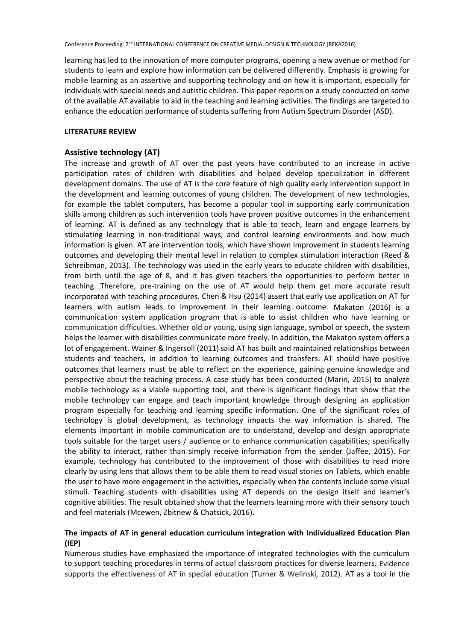learning has led to the innovation of more computer programs, opening a new avenue or method for students to learn and explore how information can be delivered differently. Emphasis is growing for mobile learning as an assertive and supporting technology and on how it is important, especially for individuals with special needs and autistic children. This paper reports on a study conducted on some of the available AT available to aid in the teaching and learning activities. The findings are targeted to enhance the education performance of students suffering from Autism Spectrum Disorder (ASD).

#### **LITERATURE REVIEW**

### **Assistive technology (AT)**

The increase and growth of AT over the past years have contributed to an increase in active participation rates of children with disabilities and helped develop specialization in different development domains. The use of AT is the core feature of high quality early intervention support in the development and learning outcomes of young children. The development of new technologies, for example the tablet computers, has become a popular tool in supporting early communication skills among children as such intervention tools have proven positive outcomes in the enhancement of learning. AT is defined as any technology that is able to teach, learn and engage learners by stimulating learning in non-traditional ways, and control learning environments and how much information is given. AT are intervention tools, which have shown improvement in students learning outcomes and developing their mental level in relation to complex stimulation interaction (Reed & Schreibman, 2013). The technology was used in the early years to educate children with disabilities, from birth until the age of 8, and it has given teachers the opportunities to perform better in teaching. Therefore, pre-training on the use of AT would help them get more accurate result incorporated with teaching procedures. Chen & Hsu (2014) assert that early use application on AT for learners with autism leads to improvement in their learning outcome. Makaton (2016) is a communication system application program that is able to assist children who have learning or communication difficulties. Whether old or young, using sign language, symbol or speech, the system helps the learner with disabilities communicate more freely. In addition, the Makaton system offers a lot of engagement. Wainer & Ingersoll (2011) said AT has built and maintained relationships between students and teachers, in addition to learning outcomes and transfers. AT should have positive outcomes that learners must be able to reflect on the experience, gaining genuine knowledge and perspective about the teaching process. A case study has been conducted (Marin, 2015) to analyze mobile technology as a viable supporting tool, and there is significant findings that show that the mobile technology can engage and teach important knowledge through designing an application program especially for teaching and learning specific information. One of the significant roles of technology is global development, as technology impacts the way information is shared. The elements important in mobile communication are to understand, develop and design appropriate tools suitable for the target users / audience or to enhance communication capabilities; specifically the ability to interact, rather than simply receive information from the sender (Jaffee, 2015). For example, technology has contributed to the improvement of those with disabilities to read more clearly by using lens that allows them to be able them to read visual stories on Tablets, which enable the user to have more engagement in the activities, especially when the contents include some visual stimuli. Teaching students with disabilities using AT depends on the design itself and learner's cognitive abilities. The result obtained show that the learners learning more with their sensory touch and feel materials (Mcewen, Zbitnew & Chatsick, 2016).

## **The impacts of AT in general education curriculum integration with Individualized Education Plan (IEP)**

Numerous studies have emphasized the importance of integrated technologies with the curriculum to support teaching procedures in terms of actual classroom practices for diverse learners. Evidence supports the effectiveness of AT in special education (Turner & Welinski, 2012). AT as a tool in the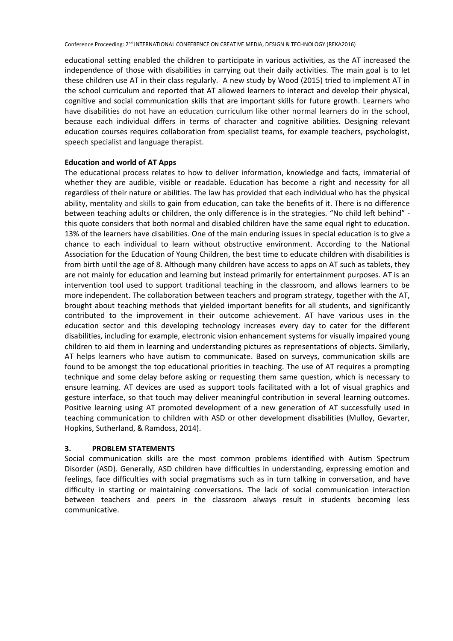educational setting enabled the children to participate in various activities, as the AT increased the independence of those with disabilities in carrying out their daily activities. The main goal is to let these children use AT in their class regularly. A new study by Wood (2015) tried to implement AT in the school curriculum and reported that AT allowed learners to interact and develop their physical, cognitive and social communication skills that are important skills for future growth. Learners who have disabilities do not have an education curriculum like other normal learners do in the school, because each individual differs in terms of character and cognitive abilities. Designing relevant education courses requires collaboration from specialist teams, for example teachers, psychologist, speech specialist and language therapist.

### **Education and world of AT Apps**

The educational process relates to how to deliver information, knowledge and facts, immaterial of whether they are audible, visible or readable. Education has become a right and necessity for all regardless of their nature or abilities. The law has provided that each individual who has the physical ability, mentality and skills to gain from education, can take the benefits of it. There is no difference between teaching adults or children, the only difference is in the strategies. "No child left behind" this quote considers that both normal and disabled children have the same equal right to education. 13% of the learners have disabilities. One of the main enduring issues in special education is to give a chance to each individual to learn without obstructive environment. According to the National Association for the Education of Young Children, the best time to educate children with disabilities is from birth until the age of 8. Although many children have access to apps on AT such as tablets, they are not mainly for education and learning but instead primarily for entertainment purposes. AT is an intervention tool used to support traditional teaching in the classroom, and allows learners to be more independent. The collaboration between teachers and program strategy, together with the AT, brought about teaching methods that yielded important benefits for all students, and significantly contributed to the improvement in their outcome achievement. AT have various uses in the education sector and this developing technology increases every day to cater for the different disabilities, including for example, electronic vision enhancement systems for visually impaired young children to aid them in learning and understanding pictures as representations of objects. Similarly, AT helps learners who have autism to communicate. Based on surveys, communication skills are found to be amongst the top educational priorities in teaching. The use of AT requires a prompting technique and some delay before asking or requesting them same question, which is necessary to ensure learning. AT devices are used as support tools facilitated with a lot of visual graphics and gesture interface, so that touch may deliver meaningful contribution in several learning outcomes. Positive learning using AT promoted development of a new generation of AT successfully used in teaching communication to children with ASD or other development disabilities (Mulloy, Gevarter, Hopkins, Sutherland, & Ramdoss, 2014).

#### **3. PROBLEM STATEMENTS**

Social communication skills are the most common problems identified with Autism Spectrum Disorder (ASD). Generally, ASD children have difficulties in understanding, expressing emotion and feelings, face difficulties with social pragmatisms such as in turn talking in conversation, and have difficulty in starting or maintaining conversations. The lack of social communication interaction between teachers and peers in the classroom always result in students becoming less communicative.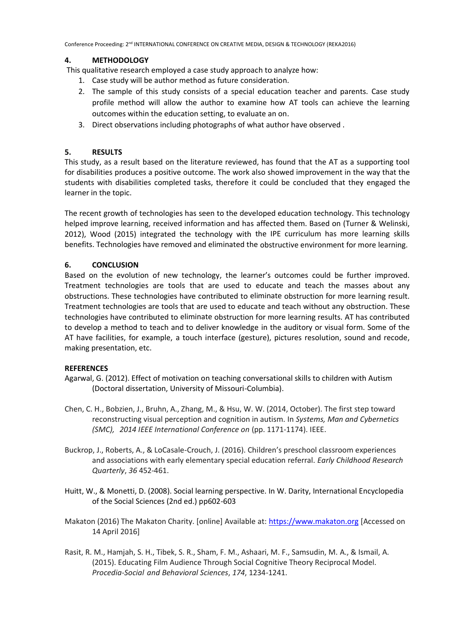Conference Proceeding: 2nd INTERNATIONAL CONFERENCE ON CREATIVE MEDIA, DESIGN & TECHNOLOGY (REKA2016)

## **4. METHODOLOGY**

This qualitative research employed a case study approach to analyze how:

- 1. Case study will be author method as future consideration.
- 2. The sample of this study consists of a special education teacher and parents. Case study profile method will allow the author to examine how AT tools can achieve the learning outcomes within the education setting, to evaluate an on.
- 3. Direct observations including photographs of what author have observed .

# **5. RESULTS**

This study, as a result based on the literature reviewed, has found that the AT as a supporting tool for disabilities produces a positive outcome. The work also showed improvement in the way that the students with disabilities completed tasks, therefore it could be concluded that they engaged the learner in the topic.

The recent growth of technologies has seen to the developed education technology. This technology helped improve learning, received information and has affected them. Based on (Turner & Welinski, 2012), Wood (2015) integrated the technology with the IPE curriculum has more learning skills benefits. Technologies have removed and eliminated the obstructive environment for more learning.

## **6. CONCLUSION**

Based on the evolution of new technology, the learner's outcomes could be further improved. Treatment technologies are tools that are used to educate and teach the masses about any obstructions. These technologies have contributed to eliminate obstruction for more learning result. Treatment technologies are tools that are used to educate and teach without any obstruction. These technologies have contributed to eliminate obstruction for more learning results. AT has contributed to develop a method to teach and to deliver knowledge in the auditory or visual form. Some of the AT have facilities, for example, a touch interface (gesture), pictures resolution, sound and recode, making presentation, etc.

## **REFERENCES**

- Agarwal, G. (2012). Effect of motivation on teaching conversational skills to children with Autism (Doctoral dissertation, University of Missouri-Columbia).
- Chen, C. H., Bobzien, J., Bruhn, A., Zhang, M., & Hsu, W. W. (2014, October). The first step toward reconstructing visual perception and cognition in autism. In *Systems, Man and Cybernetics (SMC), 2014 IEEE International Conference on* (pp. 1171-1174). IEEE.
- Buckrop, J., Roberts, A., & LoCasale-Crouch, J. (2016). Children's preschool classroom experiences and associations with early elementary special education referral. *Early Childhood Research Quarterly*, *36* 452-461.
- Huitt, W., & Monetti, D. (2008). Social learning perspective. In W. Darity, International Encyclopedia of the Social Sciences (2nd ed.) pp602-603
- Makaton (2016) The Makaton Charity. [online] Available at: [https://www.makaton.org](https://www.makaton.org/) [Accessed on 14 April 2016]
- Rasit, R. M., Hamjah, S. H., Tibek, S. R., Sham, F. M., Ashaari, M. F., Samsudin, M. A., & Ismail, A. (2015). Educating Film Audience Through Social Cognitive Theory Reciprocal Model. *Procedia-Social and Behavioral Sciences*, *174*, 1234-1241.